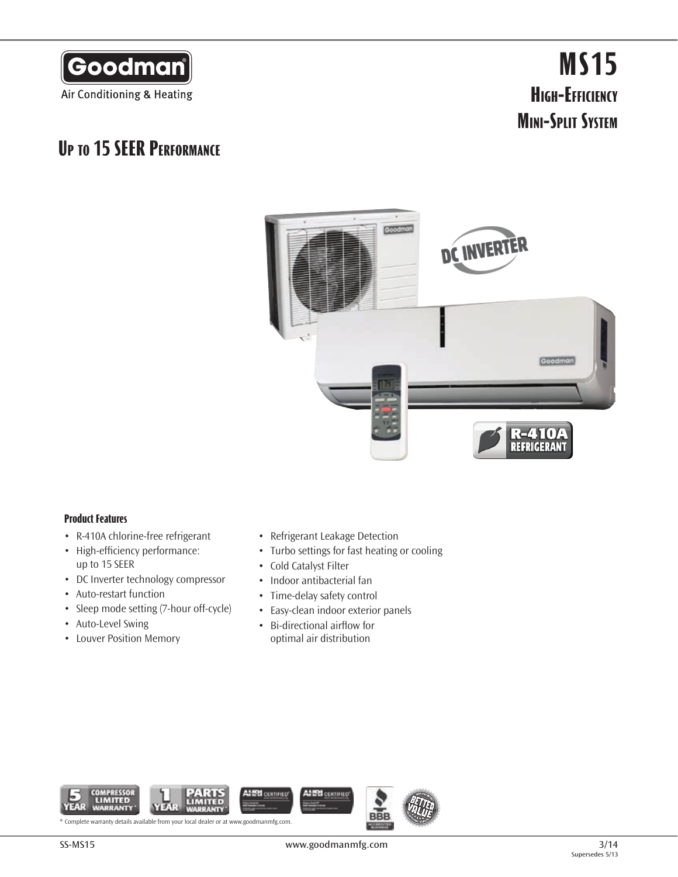

# **MS15 High-Efficiency Mini-Split System**

### **Up to 15 SEER Performance**



#### **Product Features**

- • R-410A chlorine-free refrigerant
- High-efficiency performance: up to 15 SEER
- • DC Inverter technology compressor
- • Auto-restart function
- Sleep mode setting (7-hour off-cycle)
- Auto-Level Swing
- • Louver Position Memory
- • Refrigerant Leakage Detection
- Turbo settings for fast heating or cooling
- • Cold Catalyst Filter
- • Indoor antibacterial fan
- Time-delay safety control
- Easy-clean indoor exterior panels
- • Bi-directional airflow for optimal air distribution

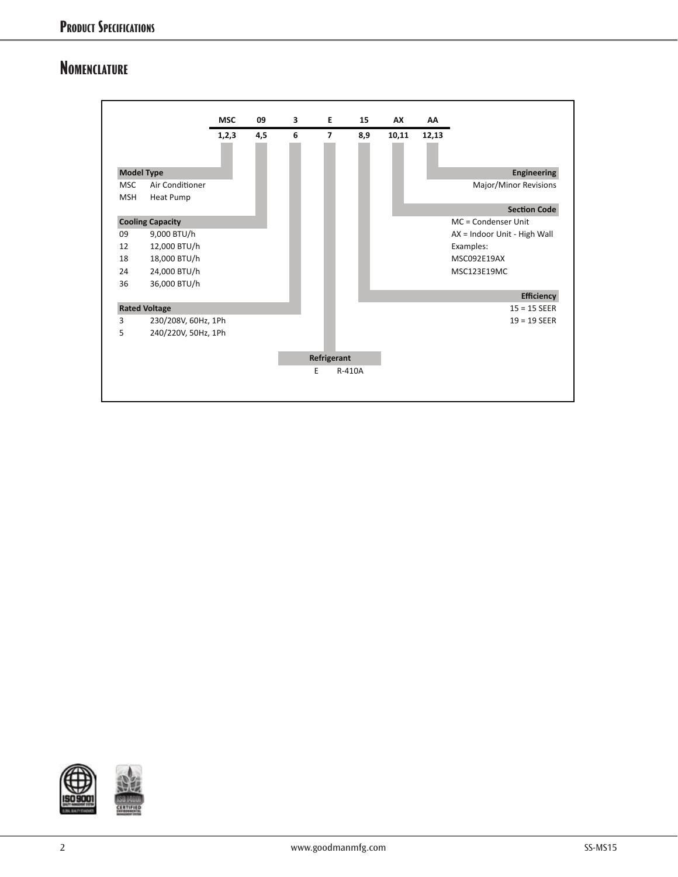#### **Nomenclature**





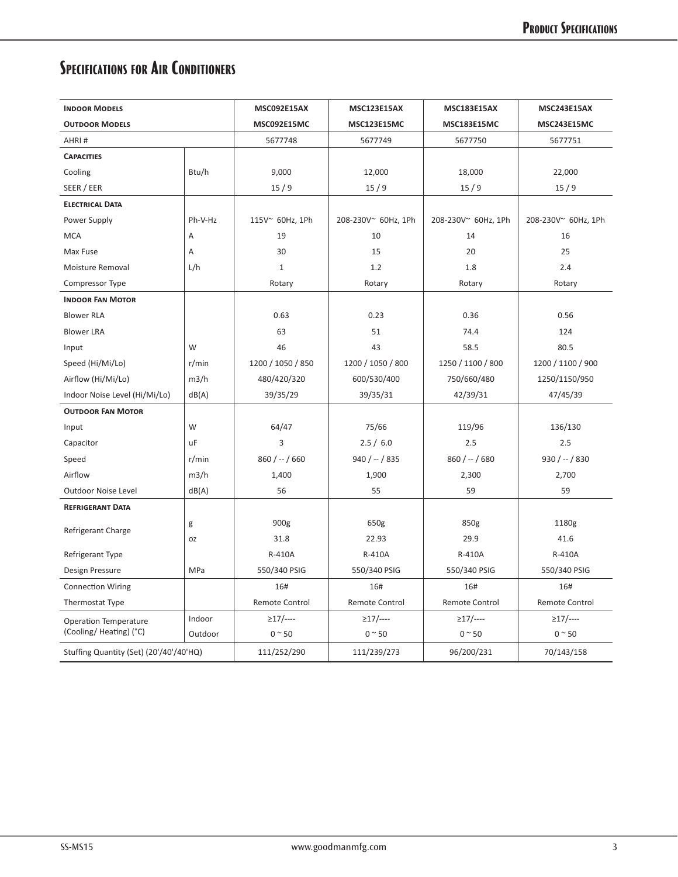## **Specifications for Air Conditioners**

| <b>INDOOR MODELS</b>                    |           | MSC092E15AX<br><b>MSC123E15AX</b> |                      | <b>MSC183E15AX</b>    | MSC243E15AX         |
|-----------------------------------------|-----------|-----------------------------------|----------------------|-----------------------|---------------------|
| <b>OUTDOOR MODELS</b>                   |           | MSC092E15MC<br>MSC123E15MC        |                      | <b>MSC183E15MC</b>    | MSC243E15MC         |
| AHRI#                                   |           | 5677748                           | 5677749              | 5677750               | 5677751             |
| <b>CAPACITIES</b>                       |           |                                   |                      |                       |                     |
| Cooling                                 | Btu/h     | 9,000                             | 12,000               | 18,000                | 22,000              |
| SEER / EER                              |           | 15/9                              | 15/9                 | 15/9                  | 15/9                |
| <b>ELECTRICAL DATA</b>                  |           |                                   |                      |                       |                     |
| Power Supply                            | Ph-V-Hz   | 115V~ 60Hz, 1Ph                   | 208-230V~ 60Hz, 1Ph  | 208-230V~ 60Hz, 1Ph   | 208-230V~ 60Hz, 1Ph |
| <b>MCA</b>                              | Α         | 19                                | 10                   | 14                    | 16                  |
| Max Fuse                                | Α         | 30                                | 15                   | 20                    | 25                  |
| Moisture Removal                        | L/h       | $\mathbf{1}$                      | 1.2                  | 1.8                   | 2.4                 |
| Compressor Type                         |           | Rotary                            | Rotary               | Rotary                | Rotary              |
| <b>INDOOR FAN MOTOR</b>                 |           |                                   |                      |                       |                     |
| <b>Blower RLA</b>                       |           | 0.63                              | 0.23                 | 0.36                  | 0.56                |
| <b>Blower LRA</b>                       |           | 63                                | 51                   | 74.4                  | 124                 |
| Input                                   | W         | 46                                | 43<br>58.5           |                       | 80.5                |
| Speed (Hi/Mi/Lo)                        | r/min     | 1200 / 1050 / 850                 | 1200 / 1050 / 800    | 1250 / 1100 / 800     | 1200 / 1100 / 900   |
| Airflow (Hi/Mi/Lo)                      | m3/h      | 480/420/320                       | 600/530/400          | 750/660/480           | 1250/1150/950       |
| Indoor Noise Level (Hi/Mi/Lo)           | dB(A)     | 39/35/29                          | 39/35/31<br>42/39/31 |                       | 47/45/39            |
| <b>OUTDOOR FAN MOTOR</b>                |           |                                   |                      |                       |                     |
| Input                                   | W         | 64/47                             | 75/66                | 119/96                | 136/130             |
| Capacitor                               | uF        | 3                                 | 2.5/6.0              | 2.5                   | 2.5                 |
| Speed                                   | r/min     | $860 / - / 660$                   | $940 / - / 835$      | $860 / - 680$         | $930 / - / 830$     |
| Airflow                                 | m3/h      | 1,400                             | 1,900                | 2,300                 | 2,700               |
| <b>Outdoor Noise Level</b>              | dB(A)     | 56                                | 55                   | 59                    | 59                  |
| <b>REFRIGERANT DATA</b>                 |           |                                   |                      |                       |                     |
| Refrigerant Charge                      | g         | 900g                              | 650g                 | 850g                  | 1180g               |
|                                         | <b>OZ</b> | 31.8                              | 22.93                | 29.9                  | 41.6                |
| Refrigerant Type                        |           | R-410A                            | R-410A               | R-410A                | R-410A              |
| Design Pressure                         | MPa       | 550/340 PSIG                      | 550/340 PSIG         | 550/340 PSIG          | 550/340 PSIG        |
| <b>Connection Wiring</b>                |           | 16#                               | 16#                  | 16#                   | 16#                 |
| Thermostat Type                         |           | Remote Control                    | Remote Control       | <b>Remote Control</b> | Remote Control      |
| <b>Operation Temperature</b>            | Indoor    | $\geq$ 17/----                    | $\geq$ 17/----       | $\geq$ 17/----        | $\geq$ 17/----      |
| (Cooling/Heating) (°C)                  | Outdoor   | $0 \sim 50$                       | $0 \sim 50$          | $0 \sim 50$           | $0 \sim 50$         |
| Stuffing Quantity (Set) (20'/40'/40'HQ) |           | 111/252/290                       | 111/239/273          | 96/200/231            | 70/143/158          |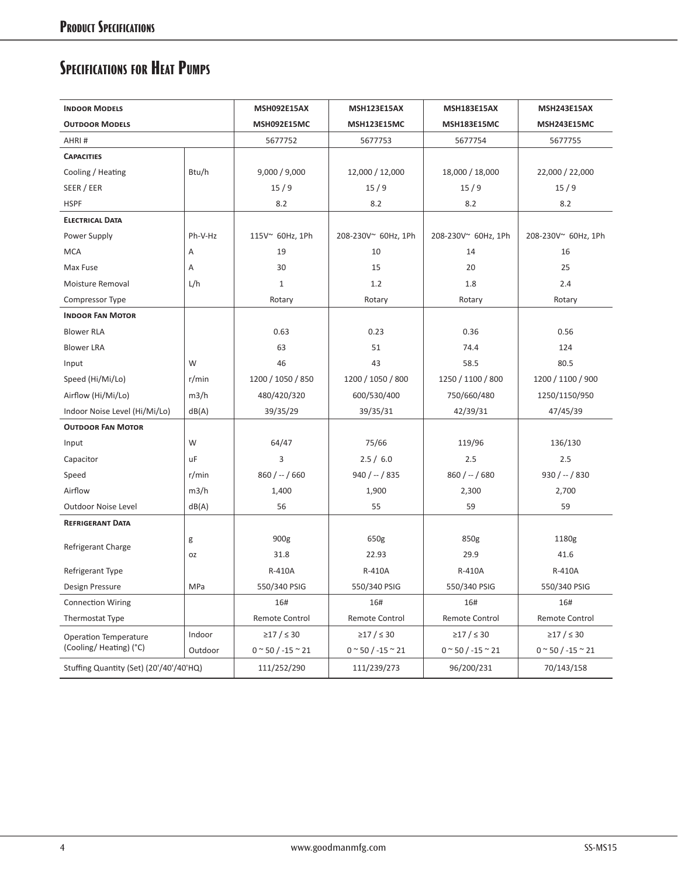### **Specifications for Heat Pumps**

| <b>INDOOR MODELS</b>                    |                | <b>MSH092E15AX</b><br><b>MSH123E15AX</b> |                                        | <b>MSH183E15AX</b>              | <b>MSH243E15AX</b>              |
|-----------------------------------------|----------------|------------------------------------------|----------------------------------------|---------------------------------|---------------------------------|
| <b>OUTDOOR MODELS</b>                   |                | MSH092E15MC<br><b>MSH123E15MC</b>        |                                        | MSH183E15MC                     | MSH243E15MC                     |
| AHRI#                                   |                | 5677752                                  | 5677753                                | 5677754                         | 5677755                         |
| <b>CAPACITIES</b>                       |                |                                          |                                        |                                 |                                 |
| Cooling / Heating                       | Btu/h          | 9,000 / 9,000                            | 12,000 / 12,000                        | 18,000 / 18,000                 | 22,000 / 22,000                 |
| SEER / EER                              |                | 15/9                                     | 15/9                                   | 15/9                            | 15/9                            |
| <b>HSPF</b>                             |                | 8.2                                      | 8.2                                    | 8.2                             | 8.2                             |
| <b>ELECTRICAL DATA</b>                  |                |                                          |                                        |                                 |                                 |
| Power Supply                            | Ph-V-Hz        | 115V~ 60Hz, 1Ph                          | 208-230V~ 60Hz, 1Ph                    | 208-230V~ 60Hz, 1Ph             | 208-230V~ 60Hz, 1Ph             |
| <b>MCA</b>                              | Α              | 19                                       | 10                                     | 14                              | 16                              |
| Max Fuse                                | $\overline{A}$ | 30                                       | 15                                     | 20                              | 25                              |
| Moisture Removal                        | L/h            | $\mathbf{1}$                             | 1.2                                    | 1.8                             | 2.4                             |
| Compressor Type                         |                | Rotary                                   | Rotary                                 | Rotary                          | Rotary                          |
| <b>INDOOR FAN MOTOR</b>                 |                |                                          |                                        |                                 |                                 |
| <b>Blower RLA</b>                       |                | 0.63                                     | 0.23                                   | 0.36                            | 0.56                            |
| <b>Blower LRA</b>                       |                | 63                                       | 51                                     | 74.4                            | 124                             |
| Input                                   | W              | 46<br>43<br>58.5                         |                                        | 80.5                            |                                 |
| Speed (Hi/Mi/Lo)                        | r/min          | 1200 / 1050 / 850                        | 1200 / 1050 / 800<br>1250 / 1100 / 800 |                                 | 1200 / 1100 / 900               |
| Airflow (Hi/Mi/Lo)                      | m3/h           | 480/420/320                              | 600/530/400<br>750/660/480             |                                 | 1250/1150/950                   |
| Indoor Noise Level (Hi/Mi/Lo)           | dB(A)          | 39/35/29                                 | 39/35/31                               | 42/39/31                        | 47/45/39                        |
| <b>OUTDOOR FAN MOTOR</b>                |                |                                          |                                        |                                 |                                 |
| Input                                   | W              | 64/47                                    | 75/66                                  | 119/96                          | 136/130                         |
| Capacitor                               | <b>uF</b>      | $\overline{3}$                           | 2.5 / 6.0                              | 2.5                             | 2.5                             |
| Speed                                   | r/min          | $860 / - 1660$                           | $940 / - / 835$                        | $860 / - 680$                   | $930 / - 1830$                  |
| Airflow                                 | m3/h           | 1,400                                    | 1,900                                  | 2,300                           | 2,700                           |
| <b>Outdoor Noise Level</b>              | dB(A)          | 56                                       | 55                                     | 59                              | 59                              |
| <b>REFRIGERANT DATA</b>                 |                |                                          |                                        |                                 |                                 |
|                                         | g              | 900g                                     | 650g                                   | 850g                            | 1180g                           |
| Refrigerant Charge                      | 0Z             | 31.8                                     | 22.93                                  | 29.9                            | 41.6                            |
| Refrigerant Type                        |                | R-410A                                   | R-410A                                 | R-410A                          | R-410A                          |
| Design Pressure                         | MPa            | 550/340 PSIG                             | 550/340 PSIG                           | 550/340 PSIG                    | 550/340 PSIG                    |
| <b>Connection Wiring</b>                |                | 16#                                      | 16#                                    | 16#                             | 16#                             |
| Thermostat Type                         |                | Remote Control                           | Remote Control                         | Remote Control                  | Remote Control                  |
| <b>Operation Temperature</b>            | Indoor         | ≥17 / ≤ 30                               | ≥17 / ≤ 30                             | ≥17 / ≤ 30                      | ≥17 / ≤ 30                      |
| (Cooling/Heating) (°C)                  | Outdoor        | $0 \approx 50 / -15 \approx 21$          | $0 \approx 50 / -15 \approx 21$        | $0 \approx 50 / -15 \approx 21$ | $0 \approx 50 / -15 \approx 21$ |
| Stuffing Quantity (Set) (20'/40'/40'HQ) |                | 111/252/290                              | 111/239/273                            | 96/200/231                      | 70/143/158                      |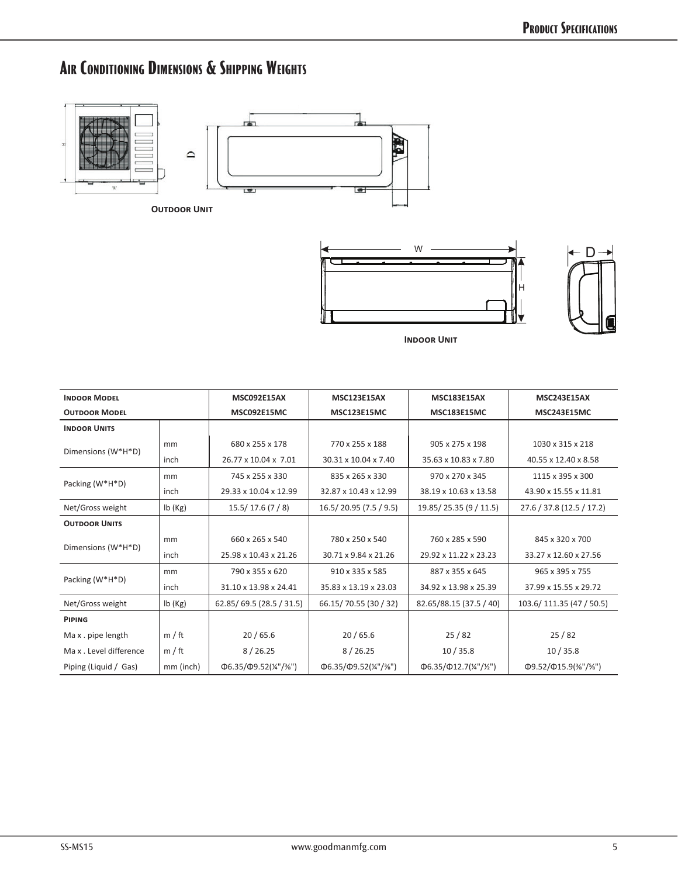## **Air Conditioning Dimensions & Shipping Weights**







**Indoor Unit**

| <b>INDOOR MODEL</b>   |           | <b>MSC092E15AX</b>                                                 | <b>MSC123E15AX</b>              | <b>MSC183E15AX</b>              | <b>MSC243E15AX</b>              |
|-----------------------|-----------|--------------------------------------------------------------------|---------------------------------|---------------------------------|---------------------------------|
| <b>OUTDOOR MODEL</b>  |           | MSC092E15MC                                                        | <b>MSC123E15MC</b>              | <b>MSC183E15MC</b>              | <b>MSC243E15MC</b>              |
| <b>INDOOR UNITS</b>   |           |                                                                    |                                 |                                 |                                 |
|                       | mm        | 680 x 255 x 178                                                    | 770 x 255 x 188                 | 905 x 275 x 198                 | 1030 x 315 x 218                |
| Dimensions (W*H*D)    | inch      | 26.77 x 10.04 x 7.01                                               | 30.31 x 10.04 x 7.40            | 35.63 x 10.83 x 7.80            | 40.55 x 12.40 x 8.58            |
| Packing (W*H*D)       | mm        | 745 x 255 x 330                                                    | 835 x 265 x 330                 | 970 x 270 x 345                 | 1115 x 395 x 300                |
|                       | inch      | 29.33 x 10.04 x 12.99                                              | 32.87 x 10.43 x 12.99           | 38.19 x 10.63 x 13.58           | 43.90 x 15.55 x 11.81           |
| Net/Gross weight      | lb(Kg)    | 15.5/17.6(7/8)<br>16.5/20.95 (7.5 / 9.5)<br>19.85/25.35 (9 / 11.5) |                                 | 27.6 / 37.8 (12.5 / 17.2)       |                                 |
| <b>OUTDOOR UNITS</b>  |           |                                                                    |                                 |                                 |                                 |
| Dimensions (W*H*D)    | mm        | 660 x 265 x 540                                                    | 780 x 250 x 540                 | 760 x 285 x 590                 | 845 x 320 x 700                 |
|                       | inch      | 25.98 x 10.43 x 21.26                                              | 30.71 x 9.84 x 21.26            | 29.92 x 11.22 x 23.23           | 33.27 x 12.60 x 27.56           |
| Packing (W*H*D)       | mm        | 790 x 355 x 620                                                    | 910 x 335 x 585                 | 887 x 355 x 645                 | 965 x 395 x 755                 |
|                       | inch      | 31.10 x 13.98 x 24.41                                              | 35.83 x 13.19 x 23.03           | 34.92 x 13.98 x 25.39           | 37.99 x 15.55 x 29.72           |
| Net/Gross weight      | lb(Kg)    | 62.85/69.5 (28.5 / 31.5)                                           | 66.15/70.55 (30 / 32)           | 82.65/88.15 (37.5 / 40)         | 103.6/111.35 (47 / 50.5)        |
| PIPING                |           |                                                                    |                                 |                                 |                                 |
| Max.pipe length       | m / ft    | 20/65.6                                                            | 20/65.6                         | 25/82                           | 25/82                           |
| Max. Level difference | m / ft    | 8/26.25                                                            | 8/26.25                         | 10/35.8                         | 10/35.8                         |
| Piping (Liquid / Gas) | mm (inch) | $\Phi$ 6.35/ $\Phi$ 9.52(¼"/¾")                                    | $\Phi$ 6.35/ $\Phi$ 9.52(¼"/¾") | $\Phi$ 6.35/ $\Phi$ 12.7(¼"/½") | $\Phi$ 9.52/ $\Phi$ 15.9(%"/%") |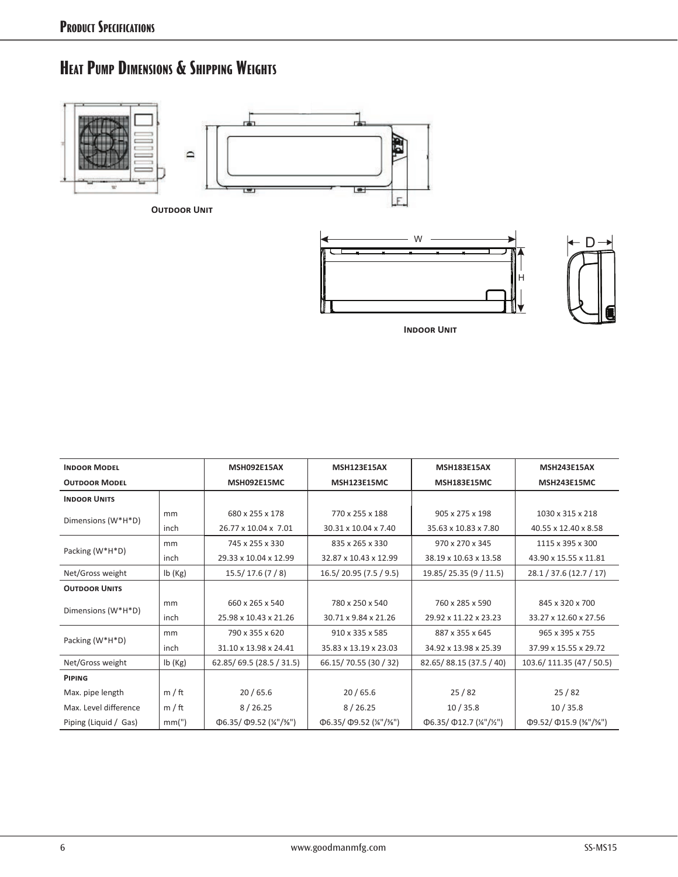#### **Heat Pump Dimensions & Shipping Weights**







**Indoor Unit**

| <b>INDOOR MODEL</b>   |        | <b>MSH092E15AX</b>                                                 | <b>MSH123E15AX</b>               | <b>MSH183E15AX</b>               | <b>MSH243E15AX</b>               |
|-----------------------|--------|--------------------------------------------------------------------|----------------------------------|----------------------------------|----------------------------------|
| <b>OUTDOOR MODEL</b>  |        | MSH092E15MC                                                        | <b>MSH123E15MC</b>               | <b>MSH183E15MC</b>               | <b>MSH243E15MC</b>               |
| <b>INDOOR UNITS</b>   |        |                                                                    |                                  |                                  |                                  |
|                       | mm     | 680 x 255 x 178                                                    | 770 x 255 x 188                  | 905 x 275 x 198                  | 1030 x 315 x 218                 |
| Dimensions (W*H*D)    | inch   | 26.77 x 10.04 x 7.01                                               | 30.31 x 10.04 x 7.40             | 35.63 x 10.83 x 7.80             | 40.55 x 12.40 x 8.58             |
|                       | mm     | 745 x 255 x 330                                                    | 835 x 265 x 330                  | 970 x 270 x 345                  | 1115 x 395 x 300                 |
| Packing (W*H*D)       | inch   | 29.33 x 10.04 x 12.99                                              | 32.87 x 10.43 x 12.99            | 38.19 x 10.63 x 13.58            | 43.90 x 15.55 x 11.81            |
| Net/Gross weight      | lb(Kg) | 16.5/20.95 (7.5 / 9.5)<br>19.85/25.35 (9 / 11.5)<br>15.5/17.6(7/8) |                                  | 28.1 / 37.6 (12.7 / 17)          |                                  |
| <b>OUTDOOR UNITS</b>  |        |                                                                    |                                  |                                  |                                  |
| Dimensions (W*H*D)    | mm     | 660 x 265 x 540                                                    | 780 x 250 x 540                  | 760 x 285 x 590                  | 845 x 320 x 700                  |
|                       | inch   | 25.98 x 10.43 x 21.26                                              | 30.71 x 9.84 x 21.26             | 29.92 x 11.22 x 23.23            | 33.27 x 12.60 x 27.56            |
| Packing (W*H*D)       | mm     | 790 x 355 x 620                                                    | 910 x 335 x 585                  | 887 x 355 x 645                  | 965 x 395 x 755                  |
|                       | inch   | 31.10 x 13.98 x 24.41                                              | 35.83 x 13.19 x 23.03            | 34.92 x 13.98 x 25.39            | 37.99 x 15.55 x 29.72            |
| Net/Gross weight      | lb(Kg) | 62.85/69.5 (28.5 / 31.5)                                           | 66.15/70.55 (30 / 32)            | 82.65/88.15 (37.5 / 40)          | 103.6/111.35 (47 / 50.5)         |
| PIPING                |        |                                                                    |                                  |                                  |                                  |
| Max. pipe length      | m / ft | 20/65.6                                                            | 20/65.6                          | 25/82                            | 25/82                            |
| Max. Level difference | m / ft | 8/26.25                                                            | 8/26.25                          | 10/35.8                          | 10/35.8                          |
| Piping (Liquid / Gas) | mm(")  | $\Phi$ 6.35/ $\Phi$ 9.52 (¼"/¾")                                   | $\Phi$ 6.35/ $\Phi$ 9.52 (¼"/¾") | $\Phi$ 6.35/ $\Phi$ 12.7 (¼"/½") | $\Phi$ 9.52/ $\Phi$ 15.9 (%"/%") |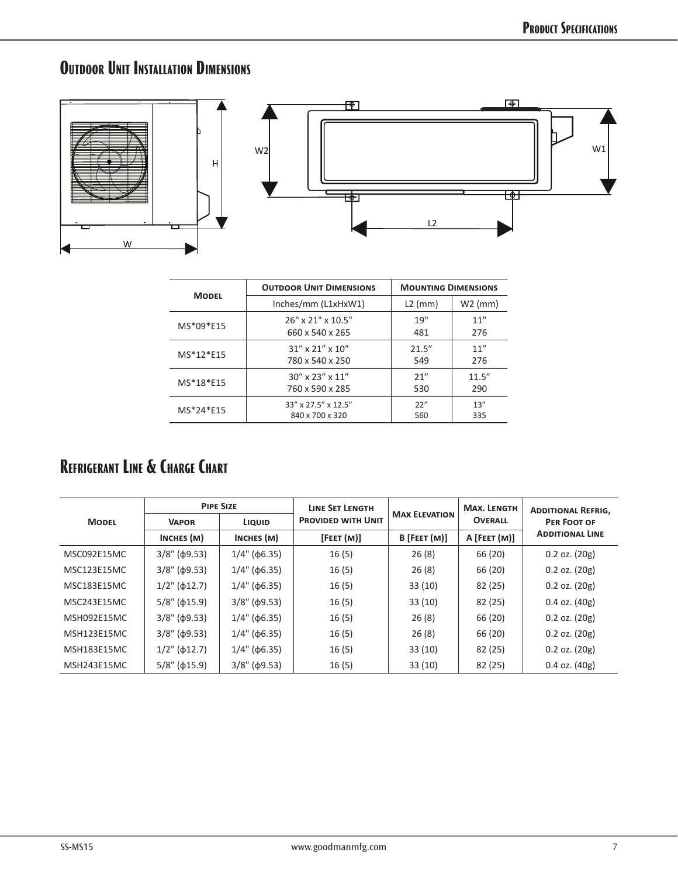## **Outdoor Unit Installation Dimensions**



|              | <b>OUTDOOR UNIT DIMENSIONS</b> | <b>MOUNTING DIMENSIONS</b> |           |  |
|--------------|--------------------------------|----------------------------|-----------|--|
| <b>MODEL</b> | Inches/mm (L1xHxW1)            | $L2$ (mm)                  | $W2$ (mm) |  |
| MS*09*E15    | 26" x 21" x 10.5"              | 19"                        | 11"       |  |
|              | 660 x 540 x 265                | 481                        | 276       |  |
| MS*12*E15    | $31''$ x 21" x 10"             | 21.5''                     | 11''      |  |
|              | 780 x 540 x 250                | 549                        | 276       |  |
| MS*18*E15    | 30" x 23" x 11"                | 21"                        | 11.5''    |  |
|              | 760 x 590 x 285                | 530                        | 290       |  |
| MS*24*E15    | 33" x 27.5" x 12.5"            | 22"                        | 13''      |  |
|              | 840 x 700 x 320                | 560                        | 335       |  |

#### **REFRIGERANT LINE & CHARGE CHART**

|                    | <b>PIPE SIZE</b>       |                        | <b>LINE SET LENGTH</b>    | <b>MAX ELEVATION</b> | <b>MAX. LENGTH</b> | <b>ADDITIONAL REFRIG,</b> |
|--------------------|------------------------|------------------------|---------------------------|----------------------|--------------------|---------------------------|
| <b>MODEL</b>       | <b>VAPOR</b>           | <b>LIQUID</b>          | <b>PROVIDED WITH UNIT</b> |                      | <b>OVERALL</b>     | PER FOOT OF               |
|                    | INCHES (M)             | INCHES (M)             | [FEET(M)]                 | $B$ [FEET $(M)$ ]    | $A$ [FEET $(M)$ ]  | <b>ADDITIONAL LINE</b>    |
| MSC092E15MC        | $3/8$ " ( $\phi$ 9.53) | $1/4$ " ( $\phi$ 6.35) | 16(5)                     | 26(8)                | 66 (20)            | $0.2$ oz. $(20g)$         |
| MSC123E15MC        | $3/8$ " ( $\phi$ 9.53) | $1/4$ " ( $\phi$ 6.35) | 16(5)                     | 26(8)                | 66 (20)            | $0.2$ oz. $(20g)$         |
| <b>MSC183E15MC</b> | $1/2$ " ( $\phi$ 12.7) | $1/4$ " ( $\phi$ 6.35) | 16(5)                     | 33(10)               | 82 (25)            | $0.2$ oz. $(20g)$         |
| MSC243E15MC        | $5/8$ " ( $\phi$ 15.9) | $3/8$ " ( $\phi$ 9.53) | 16(5)                     | 33(10)               | 82 (25)            | $0.4$ oz. $(40g)$         |
| MSH092E15MC        | $3/8$ " ( $\phi$ 9.53) | $1/4$ " ( $\phi$ 6.35) | 16(5)                     | 26(8)                | 66 (20)            | $0.2$ oz. $(20g)$         |
| <b>MSH123E15MC</b> | $3/8$ " ( $\phi$ 9.53) | $1/4$ " ( $\phi$ 6.35) | 16(5)                     | 26(8)                | 66 (20)            | $0.2$ oz. $(20g)$         |
| <b>MSH183E15MC</b> | $1/2$ " ( $\phi$ 12.7) | $1/4$ " ( $\phi$ 6.35) | 16(5)                     | 33(10)               | 82 (25)            | $0.2$ oz. $(20g)$         |
| MSH243E15MC        | $5/8$ " ( $\phi$ 15.9) | $3/8$ " ( $\phi$ 9.53) | 16(5)                     | 33(10)               | 82 (25)            | $0.4$ oz. $(40g)$         |